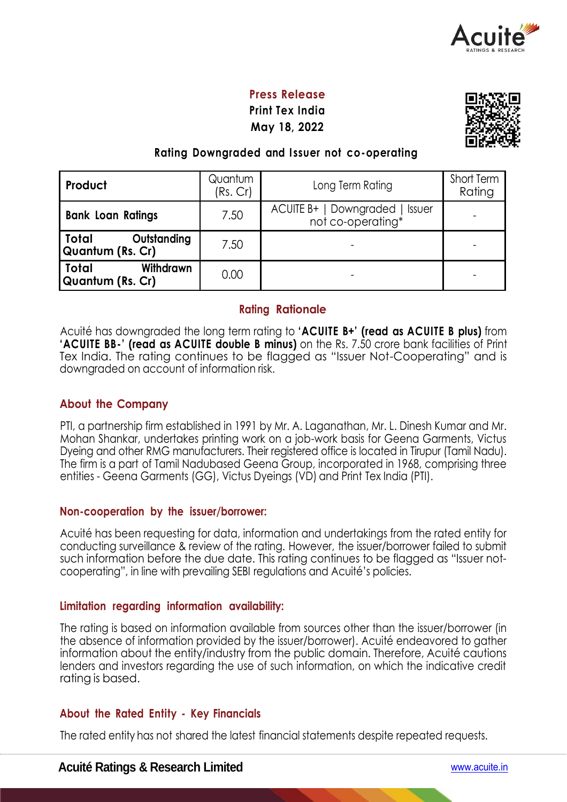

### **Press Release**

**Print Tex India May 18, 2022**



#### **Rating Downgraded and I ssuer not co-operating**

| Product                                              | Quantum<br>(Rs. Cr) | Long Term Rating                                             | Short Term<br>Rating |
|------------------------------------------------------|---------------------|--------------------------------------------------------------|----------------------|
| <b>Bank Loan Ratings</b>                             | 7.50                | ACUITE B+   Downgraded<br><b>Issuer</b><br>not co-operating* |                      |
| Total<br>Outstanding<br>Quantum (Rs. Cr)             | 7.50                |                                                              |                      |
| <b>Total</b><br>Withdrawn<br><b>Quantum (Rs. Cr)</b> | 0.00                |                                                              |                      |

#### **Rating Rationale**

Acuité has downgraded the long term rating to **'ACUITE B+' (read as ACUITE B plus)** from **'ACUITE BB-' (read as ACUITE double B minus)** on the Rs. 7.50 crore bank facilities of Print Tex India. The rating continues to be flagged as "Issuer Not-Cooperating" and is downgraded on account of information risk.

#### **About the Company**

PTI, a partnership firm established in 1991 by Mr. A. Laganathan, Mr. L. Dinesh Kumar and Mr. Mohan Shankar, undertakes printing work on a job-work basis for Geena Garments, Victus Dyeing and other RMG manufacturers. Their registered office is located in Tirupur (Tamil Nadu). The firm is a part of Tamil Nadubased Geena Group, incorporated in 1968, comprising three entities - Geena Garments (GG), Victus Dyeings (VD) and Print Tex India (PTI).

#### **Non-cooperation by the issuer/borrower:**

Acuité has been requesting for data, information and undertakings from the rated entity for conducting surveillance & review of the rating. However, the issuer/borrower failed to submit such information before the due date. This rating continues to be flagged as "Issuer notcooperating", in line with prevailing SEBI regulations and Acuité's policies.

#### **Limitation regarding information availability:**

The rating is based on information available from sources other than the issuer/borrower (in the absence of information provided by the issuer/borrower). Acuité endeavored to gather information about the entity/industry from the public domain. Therefore, Acuité cautions lenders and investors regarding the use of such information, on which the indicative credit rating is based.

#### **About the Rated Entity - Key Financials**

The rated entity has not shared the latest financial statements despite repeated requests.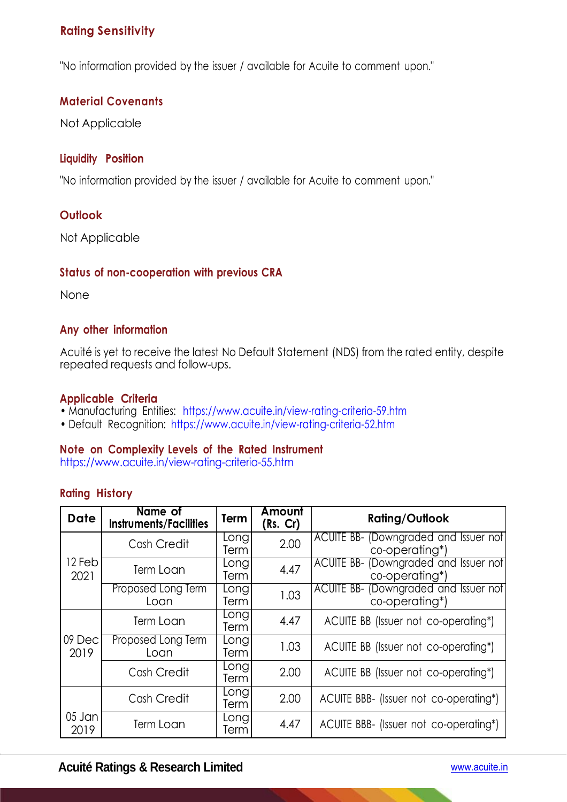## **Rating Sensitivity**

"No information provided by the issuer / available for Acuite to comment upon."

## **Material Covenants**

Not Applicable

## **Liquidity Position**

"No information provided by the issuer / available for Acuite to comment upon."

## **Outlook**

Not Applicable

## **Status of non-cooperation with previous CRA**

None

## **Any other information**

Acuité is yet to receive the latest No Default Statement (NDS) from the rated entity, despite repeated requests and follow-ups.

#### **Applicable Criteria**

- Manufacturing Entities: https://www.acuite.in/view-rating-criteria-59.htm
- Default Recognition: https://www.acuite.in/view-rating-criteria-52.htm

## **Note on Complexity Levels of the Rated Instrument**

https://www.acuite.in/view-rating-criteria-55.htm

## **Rating History**

| <b>Date</b>      | Name of<br><b>Instruments/Facilities</b> | Term         | Amount<br>(Rs. Cr) | <b>Rating/Outlook</b>                                   |
|------------------|------------------------------------------|--------------|--------------------|---------------------------------------------------------|
|                  | Cash Credit                              | Long<br>Term | 2.00               | ACUITE BB- (Downgraded and Issuer not<br>co-operating*) |
| 12 Feb<br>2021   | Term Loan                                | Long<br>Term | 4.47               | ACUITE BB- (Downgraded and Issuer not<br>co-operating*) |
|                  | Proposed Long Term<br>Loan               | Long<br>Term | 1.03               | ACUITE BB- (Downgraded and Issuer not<br>co-operating*) |
|                  | Term Loan                                | Long<br>Term | 4.47               | ACUITE BB (Issuer not co-operating*)                    |
| 109 Decl<br>2019 | Proposed Long Term<br>Loan               | Long<br>Term | 1.03               | ACUITE BB (Issuer not co-operating*)                    |
|                  | Cash Credit                              | Long<br>Term | 2.00               | ACUITE BB (Issuer not co-operating*)                    |
|                  | Cash Credit                              | Long<br>Term | 2.00               | ACUITE BBB- (Issuer not co-operating*)                  |
| 05 Jan<br>2019   | Term Loan                                | Long<br>Term | 4.47               | ACUITE BBB- (Issuer not co-operating*)                  |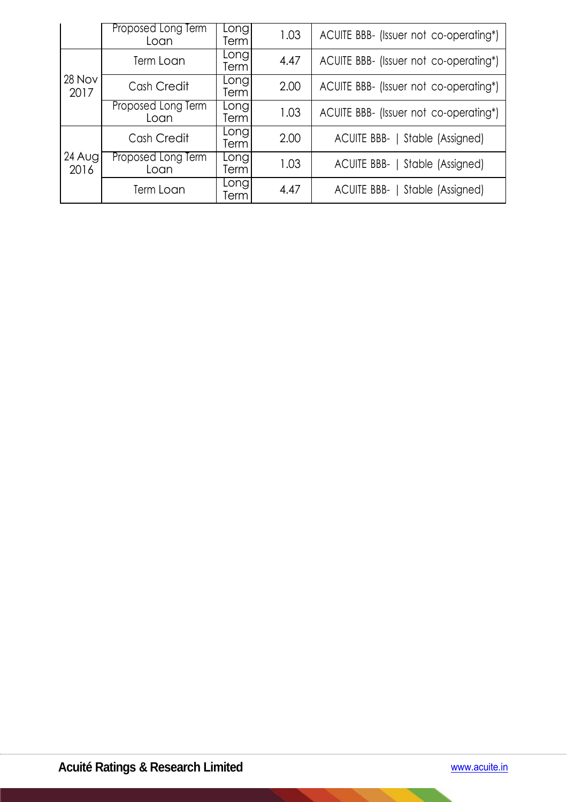|                 | Proposed Long Term<br>Loan | Longl<br>Term             | 1.03 | ACUITE BBB- (Issuer not co-operating*) |  |  |
|-----------------|----------------------------|---------------------------|------|----------------------------------------|--|--|
|                 | Term Loan                  | Longl<br>Term             | 4.47 | ACUITE BBB- (Issuer not co-operating*) |  |  |
| 28 Nov<br>2017  | Cash Credit                | Long<br>Term              | 2.00 | ACUITE BBB- (Issuer not co-operating*) |  |  |
|                 | Proposed Long Term<br>Loan | Longl<br>Term             | 1.03 | ACUITE BBB- (Issuer not co-operating*) |  |  |
|                 | Cash Credit                | Long<br>Term <sup>1</sup> | 2.00 | ACUITE BBB-  <br>Stable (Assigned)     |  |  |
| 24 Augl<br>2016 | Proposed Long Term<br>Loan | Longl<br>Term             | 1.03 | Stable (Assigned)<br>ACUITE BBB-       |  |  |
|                 | Term Loan                  | Long <sub>'</sub><br>Term | 4.47 | ACUITE BBB-  <br>Stable (Assigned)     |  |  |

 $\overline{\phantom{0}}$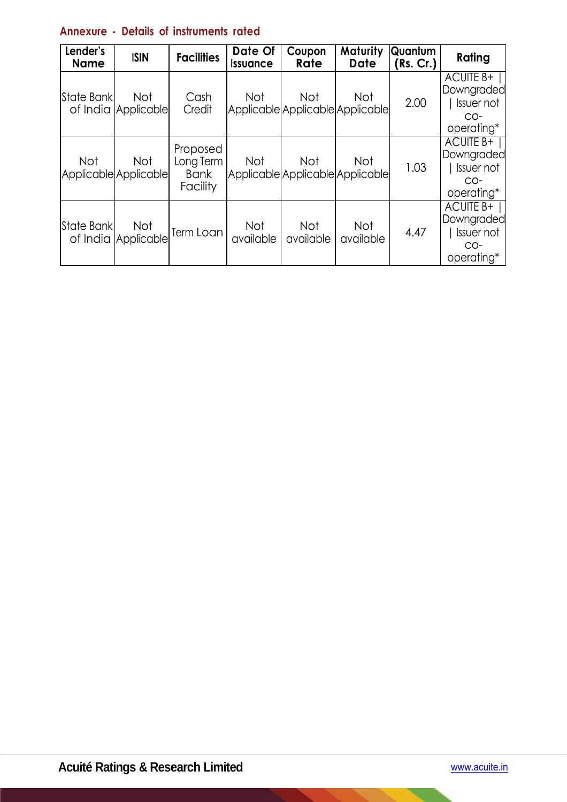# **Annexure - Details of instruments rated**

| Lender's<br><b>Name</b> | <b>ISIN</b>                       | <b>Facilities</b>                                | Date Of<br><b>Issuance</b> | Coupon<br>Rate                                 | Maturity<br><b>Date</b> | Quantum<br>(Rs. Cr.) | Rating                                                                |
|-------------------------|-----------------------------------|--------------------------------------------------|----------------------------|------------------------------------------------|-------------------------|----------------------|-----------------------------------------------------------------------|
| State Bank              | <b>Not</b><br>of India Applicable | Cash<br>Credit                                   | <b>Not</b>                 | <b>Not</b><br>Applicable Applicable Applicable | Not                     | 2.00                 | <b>ACUITE B+</b><br>Downgraded<br>  Issuer not<br>$CO-$<br>operating* |
| <b>Not</b>              | Not<br>Applicable Applicable      | Proposed<br>Long Term<br><b>Bank</b><br>Facility | <b>Not</b>                 | <b>Not</b><br>Applicable Applicable Applicable | Not                     | 1.03                 | <b>ACUITE B+</b><br>Downgraded<br>I Issuer not<br>$CO-$<br>operating* |
| State Bank              | <b>Not</b><br>of India Applicable | Term Loan                                        | <b>Not</b><br>available    | <b>Not</b><br>available                        | Not<br>available        | 4.47                 | <b>ACUITE B+</b><br>Downgraded<br>  Issuer not<br>$CO-$<br>operating* |